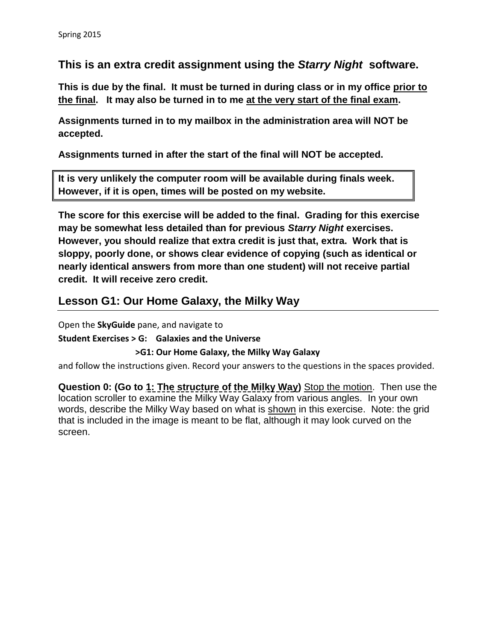**This is an extra credit assignment using the** *Starry Night* **software.**

**This is due by the final. It must be turned in during class or in my office prior to the final. It may also be turned in to me at the very start of the final exam.** 

**Assignments turned in to my mailbox in the administration area will NOT be accepted.**

**Assignments turned in after the start of the final will NOT be accepted.**

**It is very unlikely the computer room will be available during finals week. However, if it is open, times will be posted on my website.**

**The score for this exercise will be added to the final. Grading for this exercise may be somewhat less detailed than for previous** *Starry Night* **exercises. However, you should realize that extra credit is just that, extra. Work that is sloppy, poorly done, or shows clear evidence of copying (such as identical or nearly identical answers from more than one student) will not receive partial credit. It will receive zero credit.**

## **Lesson G1: Our Home Galaxy, the Milky Way**

Open the **SkyGuide** pane, and navigate to

**Student Exercises > G: Galaxies and the Universe** 

 **>G1: Our Home Galaxy, the Milky Way Galaxy**

and follow the instructions given. Record your answers to the questions in the spaces provided.

**Question 0: (Go to 1: The structure of the Milky Way)** Stop the motion. Then use the location scroller to examine the Milky Way Galaxy from various angles. In your own words, describe the Milky Way based on what is shown in this exercise. Note: the grid that is included in the image is meant to be flat, although it may look curved on the screen.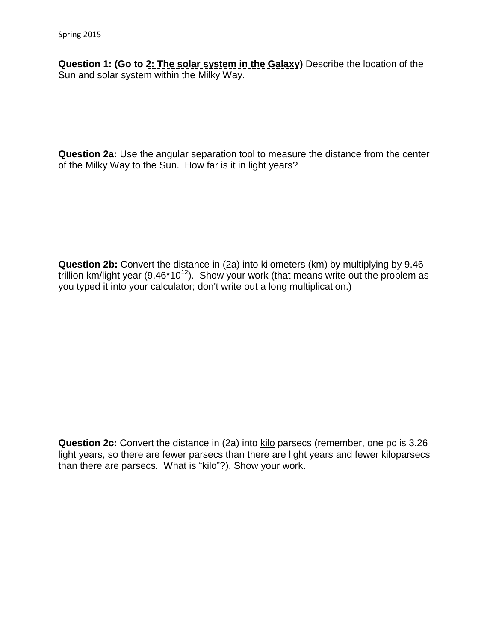**Question 1: (Go to 2: The solar system in the Galaxy)** Describe the location of the Sun and solar system within the Milky Way.

**Question 2a:** Use the angular separation tool to measure the distance from the center of the Milky Way to the Sun. How far is it in light years?

**Question 2b:** Convert the distance in (2a) into kilometers (km) by multiplying by 9.46 trillion km/light year  $(9.46*10^{12})$ . Show your work (that means write out the problem as you typed it into your calculator; don't write out a long multiplication.)

**Question 2c:** Convert the distance in (2a) into kilo parsecs (remember, one pc is 3.26 light years, so there are fewer parsecs than there are light years and fewer kiloparsecs than there are parsecs. What is "kilo"?). Show your work.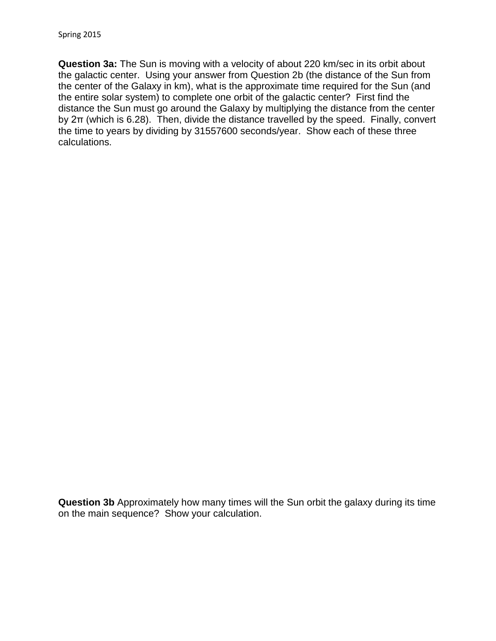**Question 3a:** The Sun is moving with a velocity of about 220 km/sec in its orbit about the galactic center. Using your answer from Question 2b (the distance of the Sun from the center of the Galaxy in km), what is the approximate time required for the Sun (and the entire solar system) to complete one orbit of the galactic center? First find the distance the Sun must go around the Galaxy by multiplying the distance from the center by 2π (which is 6.28). Then, divide the distance travelled by the speed. Finally, convert the time to years by dividing by 31557600 seconds/year. Show each of these three calculations.

**Question 3b** Approximately how many times will the Sun orbit the galaxy during its time on the main sequence? Show your calculation.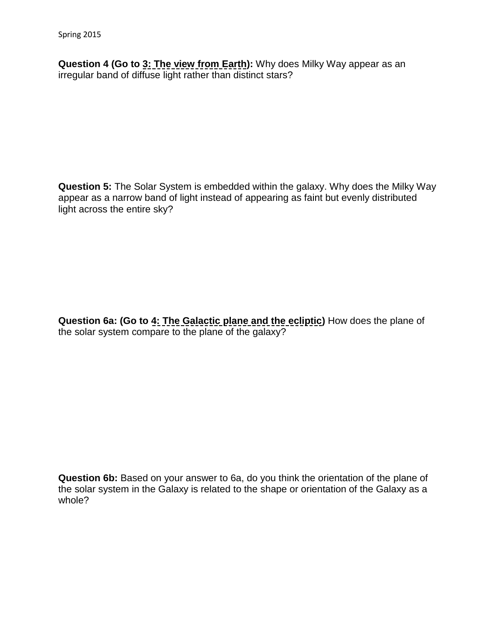**Question 4 (Go to 3: The view from Earth):** Why does Milky Way appear as an irregular band of diffuse light rather than distinct stars?

**Question 5:** The Solar System is embedded within the galaxy. Why does the Milky Way appear as a narrow band of light instead of appearing as faint but evenly distributed light across the entire sky?

**Question 6a: (Go to 4: The Galactic plane and the ecliptic)** How does the plane of the solar system compare to the plane of the galaxy?

**Question 6b:** Based on your answer to 6a, do you think the orientation of the plane of the solar system in the Galaxy is related to the shape or orientation of the Galaxy as a whole?